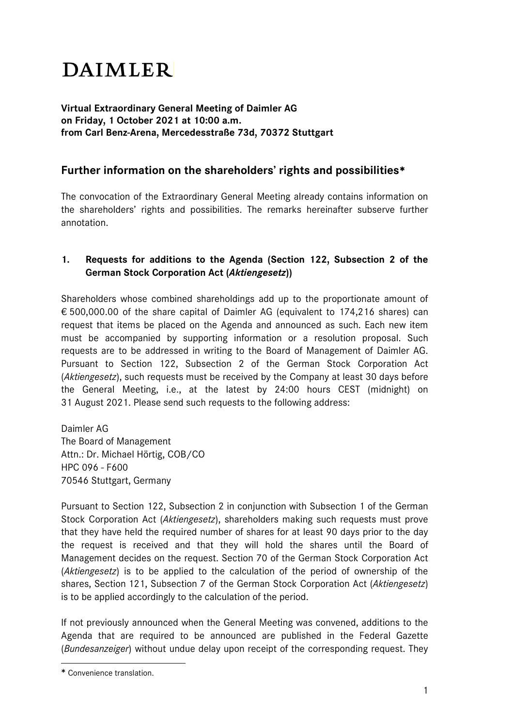# **DAIMLER**

## **Virtual Extraordinary General Meeting of Daimler AG on Friday, 1 October 2021 at 10:00 a.m. from Carl Benz-Arena, Mercedesstraße 73d, 70372 Stuttgart**

## **Further information on the shareholders' rights and possibilities**

The convocation of the Extraordinary General Meeting already contains information on the shareholders' rights and possibilities. The remarks hereinafter subserve further annotation.

## **1. Requests for additions to the Agenda (Section 122, Subsection 2 of the German Stock Corporation Act (***Aktiengesetz***))**

Shareholders whose combined shareholdings add up to the proportionate amount of € 500,000.00 of the share capital of Daimler AG (equivalent to 174,216 shares) can request that items be placed on the Agenda and announced as such. Each new item must be accompanied by supporting information or a resolution proposal. Such requests are to be addressed in writing to the Board of Management of Daimler AG. Pursuant to Section 122, Subsection 2 of the German Stock Corporation Act (*Aktiengesetz*), such requests must be received by the Company at least 30 days before the General Meeting, i.e., at the latest by 24:00 hours CEST (midnight) on 31 August 2021. Please send such requests to the following address:

Daimler AG The Board of Management Attn.: Dr. Michael Hörtig, COB/CO HPC 096 - F600 70546 Stuttgart, Germany

Pursuant to Section 122, Subsection 2 in conjunction with Subsection 1 of the German Stock Corporation Act (*Aktiengesetz*), shareholders making such requests must prove that they have held the required number of shares for at least 90 days prior to the day the request is received and that they will hold the shares until the Board of Management decides on the request. Section 70 of the German Stock Corporation Act (*Aktiengesetz*) is to be applied to the calculation of the period of ownership of the shares, Section 121, Subsection 7 of the German Stock Corporation Act (*Aktiengesetz*) is to be applied accordingly to the calculation of the period.

If not previously announced when the General Meeting was convened, additions to the Agenda that are required to be announced are published in the Federal Gazette (*Bundesanzeiger*) without undue delay upon receipt of the corresponding request. They

<span id="page-0-0"></span>Convenience translation.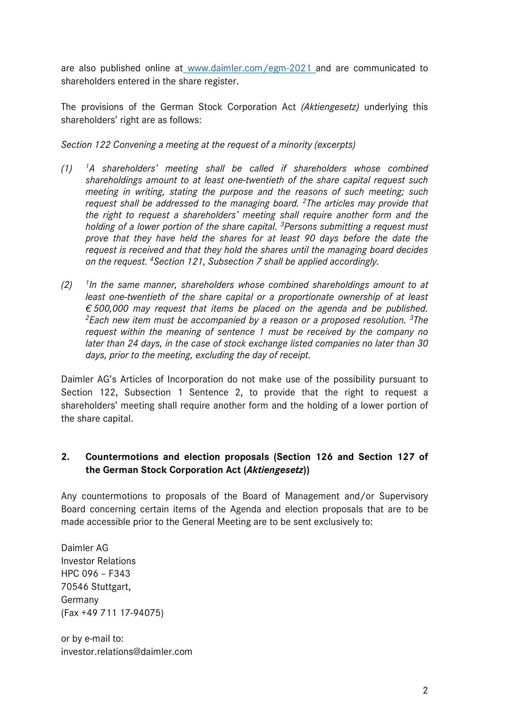are also published online at www.daimler.com/egm-2021 and are communicated to shareholders entered in the share register.

The provisions of the German Stock Corporation Act *(Aktiengesetz)* underlying this shareholders' right are as follows:

*Section 122 Convening a meeting at the request of a minority (excerpts)*

- *(1) 1A shareholders' meeting shall be called if shareholders whose combined shareholdings amount to at least one-twentieth of the share capital request such meeting in writing, stating the purpose and the reasons of such meeting; such request shall be addressed to the managing board. 2The articles may provide that the right to request a shareholders' meeting shall require another form and the holding of a lower portion of the share capital. 3Persons submitting a request must prove that they have held the shares for at least 90 days before the date the request is received and that they hold the shares until the managing board decides on the request. 4Section 121, Subsection 7 shall be applied accordingly.*
- *(2) 1In the same manner, shareholders whose combined shareholdings amount to at least one-twentieth of the share capital or a proportionate ownership of at least € 500,000 may request that items be placed on the agenda and be published. 2Each new item must be accompanied by a reason or a proposed resolution. 3The request within the meaning of sentence 1 must be received by the company no later than 24 days, in the case of stock exchange listed companies no later than 30 days, prior to the meeting, excluding the day of receipt.*

Daimler AG's Articles of Incorporation do not make use of the possibility pursuant to Section 122, Subsection 1 Sentence 2, to provide that the right to request a shareholders' meeting shall require another form and the holding of a lower portion of the share capital.

## **2. Countermotions and election proposals (Section 126 and Section 127 of the German Stock Corporation Act (***Aktiengesetz***))**

Any countermotions to proposals of the Board of Management and/or Supervisory Board concerning certain items of the Agenda and election proposals that are to be made accessible prior to the General Meeting are to be sent exclusively to:

Daimler AG Investor Relations HPC 096 – F343 70546 Stuttgart, Germany (Fax +49 711 17-94075)

or by e-mail to: investor.relations@daimler.com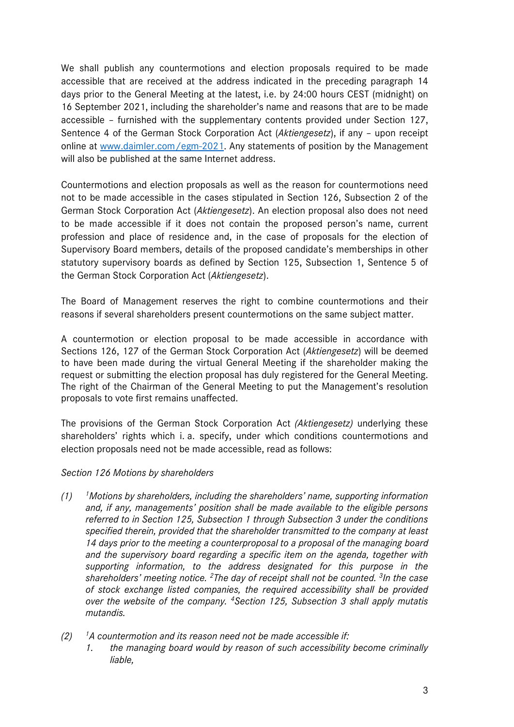We shall publish any countermotions and election proposals required to be made accessible that are received at the address indicated in the preceding paragraph 14 days prior to the General Meeting at the latest, i.e. by 24:00 hours CEST (midnight) on 16 September 2021, including the shareholder's name and reasons that are to be made accessible – furnished with the supplementary contents provided under Section 127, Sentence 4 of the German Stock Corporation Act (*Aktiengesetz*), if any – upon receipt online at [www.daimler.com/egm-2021.](http://www.daimler.com/egm-2021) Any statements of position by the Management will also be published at the same Internet address.

Countermotions and election proposals as well as the reason for countermotions need not to be made accessible in the cases stipulated in Section 126, Subsection 2 of the German Stock Corporation Act (*Aktiengesetz*). An election proposal also does not need to be made accessible if it does not contain the proposed person's name, current profession and place of residence and, in the case of proposals for the election of Supervisory Board members, details of the proposed candidate's memberships in other statutory supervisory boards as defined by Section 125, Subsection 1, Sentence 5 of the German Stock Corporation Act (*Aktiengesetz*).

The Board of Management reserves the right to combine countermotions and their reasons if several shareholders present countermotions on the same subject matter.

A countermotion or election proposal to be made accessible in accordance with Sections 126, 127 of the German Stock Corporation Act (*Aktiengesetz*) will be deemed to have been made during the virtual General Meeting if the shareholder making the request or submitting the election proposal has duly registered for the General Meeting. The right of the Chairman of the General Meeting to put the Management's resolution proposals to vote first remains unaffected.

The provisions of the German Stock Corporation Act *(Aktiengesetz)* underlying these shareholders' rights which i. a. specify, under which conditions countermotions and election proposals need not be made accessible, read as follows:

#### *Section 126 Motions by shareholders*

- *(1) 1Motions by shareholders, including the shareholders' name, supporting information and, if any, managements' position shall be made available to the eligible persons referred to in Section 125, Subsection 1 through Subsection 3 under the conditions specified therein, provided that the shareholder transmitted to the company at least 14 days prior to the meeting a counterproposal to a proposal of the managing board and the supervisory board regarding a specific item on the agenda, together with supporting information, to the address designated for this purpose in the shareholders' meeting notice. 2The day of receipt shall not be counted. 3In the case of stock exchange listed companies, the required accessibility shall be provided over the website of the company. 4Section 125, Subsection 3 shall apply mutatis mutandis.*
- *(2) 1A countermotion and its reason need not be made accessible if: 1. the managing board would by reason of such accessibility become criminally liable,*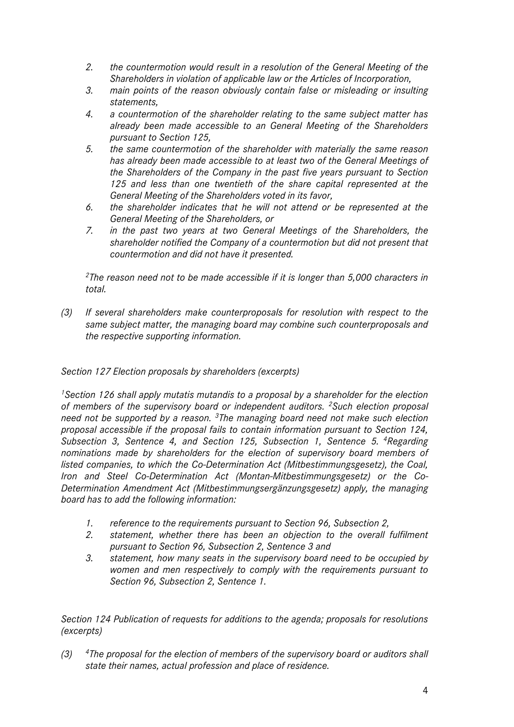- *2. the countermotion would result in a resolution of the General Meeting of the Shareholders in violation of applicable law or the Articles of Incorporation,*
- *3. main points of the reason obviously contain false or misleading or insulting statements,*
- *4. a countermotion of the shareholder relating to the same subject matter has already been made accessible to an General Meeting of the Shareholders pursuant to Section 125,*
- *5. the same countermotion of the shareholder with materially the same reason has already been made accessible to at least two of the General Meetings of the Shareholders of the Company in the past five years pursuant to Section 125 and less than one twentieth of the share capital represented at the General Meeting of the Shareholders voted in its favor,*
- *6. the shareholder indicates that he will not attend or be represented at the General Meeting of the Shareholders, or*
- *7. in the past two years at two General Meetings of the Shareholders, the shareholder notified the Company of a countermotion but did not present that countermotion and did not have it presented.*

*2The reason need not to be made accessible if it is longer than 5,000 characters in total.* 

*(3) If several shareholders make counterproposals for resolution with respect to the same subject matter, the managing board may combine such counterproposals and the respective supporting information.*

## *Section 127 Election proposals by shareholders (excerpts)*

*1Section 126 shall apply mutatis mutandis to a proposal by a shareholder for the election of members of the supervisory board or independent auditors. 2Such election proposal need not be supported by a reason. 3The managing board need not make such election proposal accessible if the proposal fails to contain information pursuant to Section 124, Subsection 3, Sentence 4, and Section 125, Subsection 1, Sentence 5. 4Regarding nominations made by shareholders for the election of supervisory board members of listed companies, to which the Co-Determination Act (Mitbestimmungsgesetz), the Coal, Iron and Steel Co-Determination Act (Montan-Mitbestimmungsgesetz) or the Co-Determination Amendment Act (Mitbestimmungsergänzungsgesetz) apply, the managing board has to add the following information:*

- *1. reference to the requirements pursuant to Section 96, Subsection 2,*
- *2. statement, whether there has been an objection to the overall fulfilment pursuant to Section 96, Subsection 2, Sentence 3 and*
- *3. statement, how many seats in the supervisory board need to be occupied by women and men respectively to comply with the requirements pursuant to Section 96, Subsection 2, Sentence 1.*

*Section 124 Publication of requests for additions to the agenda; proposals for resolutions (excerpts)*

*(3) 4The proposal for the election of members of the supervisory board or auditors shall state their names, actual profession and place of residence.*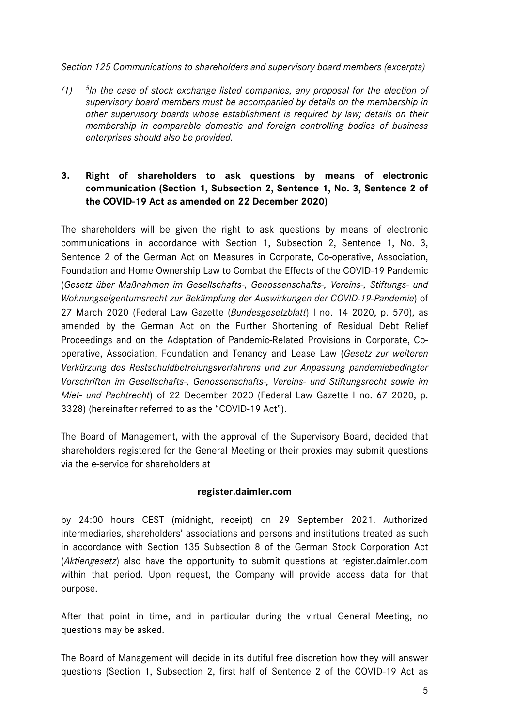#### *Section 125 Communications to shareholders and supervisory board members (excerpts)*

*(1) 5In the case of stock exchange listed companies, any proposal for the election of supervisory board members must be accompanied by details on the membership in other supervisory boards whose establishment is required by law; details on their membership in comparable domestic and foreign controlling bodies of business enterprises should also be provided.*

## **3. Right of shareholders to ask questions by means of electronic communication (Section 1, Subsection 2, Sentence 1, No. 3, Sentence 2 of the COVID-19 Act as amended on 22 December 2020)**

The shareholders will be given the right to ask questions by means of electronic communications in accordance with Section 1, Subsection 2, Sentence 1, No. 3, Sentence 2 of the German Act on Measures in Corporate, Co-operative, Association, Foundation and Home Ownership Law to Combat the Effects of the COVID-19 Pandemic (*Gesetz über Maßnahmen im Gesellschafts-, Genossenschafts-, Vereins-, Stiftungs- und Wohnungseigentumsrecht zur Bekämpfung der Auswirkungen der COVID-19-Pandemie*) of 27 March 2020 (Federal Law Gazette (*Bundesgesetzblatt*) I no. 14 2020, p. 570), as amended by the German Act on the Further Shortening of Residual Debt Relief Proceedings and on the Adaptation of Pandemic-Related Provisions in Corporate, Cooperative, Association, Foundation and Tenancy and Lease Law (*Gesetz zur weiteren Verkürzung des Restschuldbefreiungsverfahrens und zur Anpassung pandemiebedingter Vorschriften im Gesellschafts-, Genossenschafts-, Vereins- und Stiftungsrecht sowie im Miet- und Pachtrecht*) of 22 December 2020 (Federal Law Gazette I no. 67 2020, p. 3328) (hereinafter referred to as the "COVID-19 Act").

The Board of Management, with the approval of the Supervisory Board, decided that shareholders registered for the General Meeting or their proxies may submit questions via the e-service for shareholders at

#### **register.daimler.com**

by 24:00 hours CEST (midnight, receipt) on 29 September 2021. Authorized intermediaries, shareholders' associations and persons and institutions treated as such in accordance with Section 135 Subsection 8 of the German Stock Corporation Act (*Aktiengesetz*) also have the opportunity to submit questions at register.daimler.com within that period. Upon request, the Company will provide access data for that purpose.

After that point in time, and in particular during the virtual General Meeting, no questions may be asked.

The Board of Management will decide in its dutiful free discretion how they will answer questions (Section 1, Subsection 2, first half of Sentence 2 of the COVID-19 Act as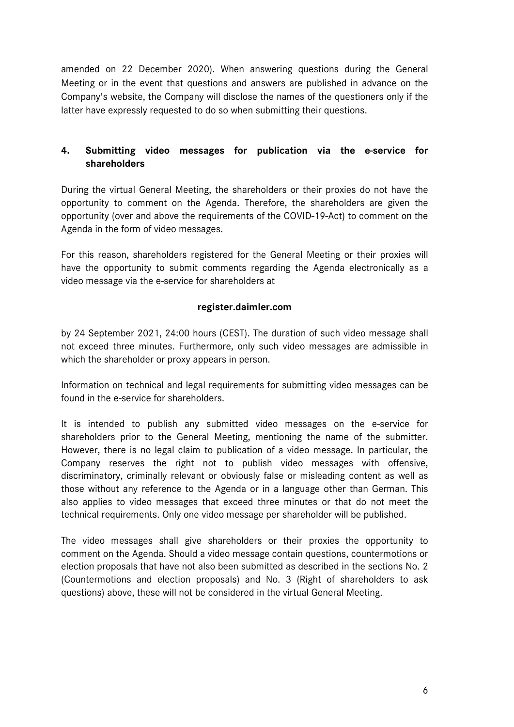amended on 22 December 2020). When answering questions during the General Meeting or in the event that questions and answers are published in advance on the Company's website, the Company will disclose the names of the questioners only if the latter have expressly requested to do so when submitting their questions.

## **4. Submitting video messages for publication via the e-service for shareholders**

During the virtual General Meeting, the shareholders or their proxies do not have the opportunity to comment on the Agenda. Therefore, the shareholders are given the opportunity (over and above the requirements of the COVID-19-Act) to comment on the Agenda in the form of video messages.

For this reason, shareholders registered for the General Meeting or their proxies will have the opportunity to submit comments regarding the Agenda electronically as a video message via the e-service for shareholders at

#### **register.daimler.com**

by 24 September 2021, 24:00 hours (CEST). The duration of such video message shall not exceed three minutes. Furthermore, only such video messages are admissible in which the shareholder or proxy appears in person.

Information on technical and legal requirements for submitting video messages can be found in the e-service for shareholders.

It is intended to publish any submitted video messages on the e-service for shareholders prior to the General Meeting, mentioning the name of the submitter. However, there is no legal claim to publication of a video message. In particular, the Company reserves the right not to publish video messages with offensive, discriminatory, criminally relevant or obviously false or misleading content as well as those without any reference to the Agenda or in a language other than German. This also applies to video messages that exceed three minutes or that do not meet the technical requirements. Only one video message per shareholder will be published.

The video messages shall give shareholders or their proxies the opportunity to comment on the Agenda. Should a video message contain questions, countermotions or election proposals that have not also been submitted as described in the sections No. 2 (Countermotions and election proposals) and No. 3 (Right of shareholders to ask questions) above, these will not be considered in the virtual General Meeting.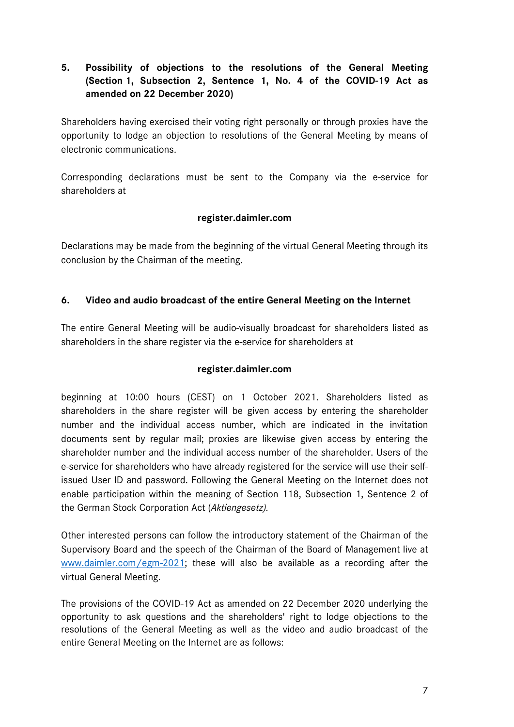## **5. Possibility of objections to the resolutions of the General Meeting (Section 1, Subsection 2, Sentence 1, No. 4 of the COVID-19 Act as amended on 22 December 2020)**

Shareholders having exercised their voting right personally or through proxies have the opportunity to lodge an objection to resolutions of the General Meeting by means of electronic communications.

Corresponding declarations must be sent to the Company via the e-service for shareholders at

## **register.daimler.com**

Declarations may be made from the beginning of the virtual General Meeting through its conclusion by the Chairman of the meeting.

## **6. Video and audio broadcast of the entire General Meeting on the Internet**

The entire General Meeting will be audio-visually broadcast for shareholders listed as shareholders in the share register via the e-service for shareholders at

#### **register.daimler.com**

beginning at 10:00 hours (CEST) on 1 October 2021. Shareholders listed as shareholders in the share register will be given access by entering the shareholder number and the individual access number, which are indicated in the invitation documents sent by regular mail; proxies are likewise given access by entering the shareholder number and the individual access number of the shareholder. Users of the e-service for shareholders who have already registered for the service will use their selfissued User ID and password. Following the General Meeting on the Internet does not enable participation within the meaning of Section 118, Subsection 1, Sentence 2 of the German Stock Corporation Act (*Aktiengesetz).*

Other interested persons can follow the introductory statement of the Chairman of the Supervisory Board and the speech of the Chairman of the Board of Management live at [www.daimler.com/egm-2021;](http://www.daimler.com/egm-2021) these will also be available as a recording after the virtual General Meeting.

The provisions of the COVID-19 Act as amended on 22 December 2020 underlying the opportunity to ask questions and the shareholders' right to lodge objections to the resolutions of the General Meeting as well as the video and audio broadcast of the entire General Meeting on the Internet are as follows: